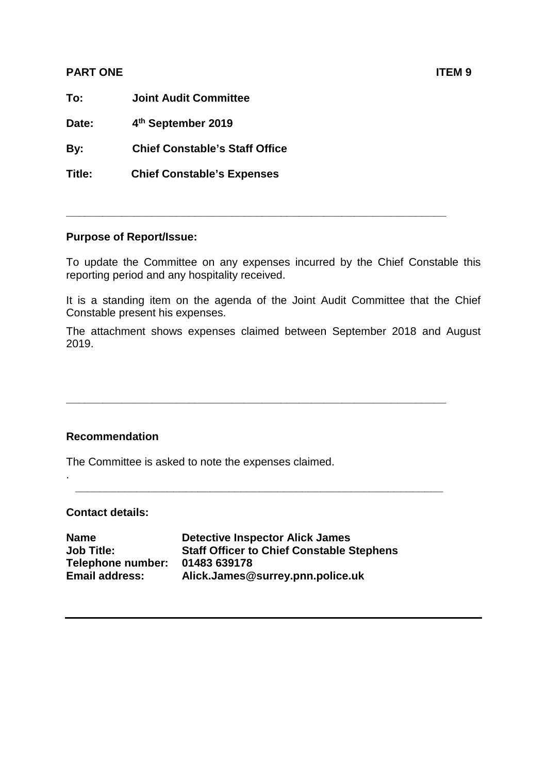## **PART ONE ITEM 9**

**To: Joint Audit Committee**

**Date: 4th September 2019**

**By: Chief Constable's Staff Office**

**Title: Chief Constable's Expenses** 

## **Purpose of Report/Issue:**

To update the Committee on any expenses incurred by the Chief Constable this reporting period and any hospitality received.

**\_\_\_\_\_\_\_\_\_\_\_\_\_\_\_\_\_\_\_\_\_\_\_\_\_\_\_\_\_\_\_\_\_\_\_\_\_\_\_\_\_\_\_\_\_\_\_\_\_\_\_\_\_\_\_\_\_\_\_\_\_\_**

It is a standing item on the agenda of the Joint Audit Committee that the Chief Constable present his expenses.

The attachment shows expenses claimed between September 2018 and August 2019.

**\_\_\_\_\_\_\_\_\_\_\_\_\_\_\_\_\_\_\_\_\_\_\_\_\_\_\_\_\_\_\_\_\_\_\_\_\_\_\_\_\_\_\_\_\_\_\_\_\_\_\_\_\_\_\_\_\_\_\_\_\_\_**

**\_\_\_\_\_\_\_\_\_\_\_\_\_\_\_\_\_\_\_\_\_\_\_\_\_\_\_\_\_\_\_\_\_\_\_\_\_\_\_\_\_\_\_\_\_\_\_\_\_\_\_\_\_\_\_\_\_\_\_\_**

## **Recommendation**

The Committee is asked to note the expenses claimed.

## **Contact details:**

.

| Name                  | <b>Detective Inspector Alick James</b>           |
|-----------------------|--------------------------------------------------|
| Job Title:            | <b>Staff Officer to Chief Constable Stephens</b> |
| Telephone number:     | 01483 639178                                     |
| <b>Email address:</b> | Alick.James@surrey.pnn.police.uk                 |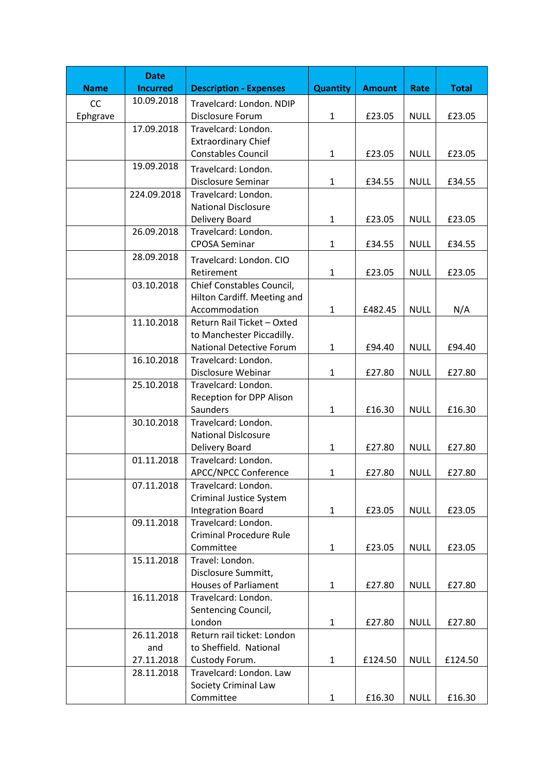|             | <b>Date</b>     |                                                            |                 |               |             |              |
|-------------|-----------------|------------------------------------------------------------|-----------------|---------------|-------------|--------------|
| <b>Name</b> | <b>Incurred</b> | <b>Description - Expenses</b>                              | <b>Quantity</b> | <b>Amount</b> | Rate        | <b>Total</b> |
| CC          | 10.09.2018      | Travelcard: London. NDIP                                   |                 |               |             |              |
| Ephgrave    |                 | Disclosure Forum                                           | $\mathbf{1}$    | £23.05        | <b>NULL</b> | £23.05       |
|             | 17.09.2018      | Travelcard: London.                                        |                 |               |             |              |
|             |                 | <b>Extraordinary Chief</b>                                 |                 |               |             |              |
|             |                 | <b>Constables Council</b>                                  | $\mathbf{1}$    | £23.05        | <b>NULL</b> | £23.05       |
|             | 19.09.2018      | Travelcard: London.                                        |                 |               |             |              |
|             |                 | Disclosure Seminar                                         | $\mathbf{1}$    | £34.55        | <b>NULL</b> | £34.55       |
|             | 224.09.2018     | Travelcard: London.                                        |                 |               |             |              |
|             |                 | <b>National Disclosure</b>                                 |                 |               |             |              |
|             |                 | Delivery Board                                             | $\mathbf{1}$    | £23.05        | <b>NULL</b> | £23.05       |
|             | 26.09.2018      | Travelcard: London.                                        |                 |               |             |              |
|             |                 | <b>CPOSA Seminar</b>                                       | $\mathbf{1}$    | £34.55        | <b>NULL</b> | £34.55       |
|             | 28.09.2018      | Travelcard: London. CIO                                    |                 |               |             |              |
|             |                 | Retirement                                                 | $\mathbf{1}$    | £23.05        | <b>NULL</b> | £23.05       |
|             | 03.10.2018      | Chief Constables Council,                                  |                 |               |             |              |
|             |                 | Hilton Cardiff. Meeting and                                |                 |               |             |              |
|             |                 | Accommodation                                              | $\mathbf{1}$    | £482.45       | <b>NULL</b> | N/A          |
|             | 11.10.2018      | Return Rail Ticket - Oxted                                 |                 |               |             |              |
|             |                 | to Manchester Piccadilly.                                  |                 |               |             |              |
|             |                 | <b>National Detective Forum</b>                            | $\mathbf{1}$    | £94.40        | <b>NULL</b> | £94.40       |
|             | 16.10.2018      | Travelcard: London.                                        |                 |               |             |              |
|             |                 | Disclosure Webinar                                         | $\mathbf{1}$    | £27.80        | <b>NULL</b> | £27.80       |
|             | 25.10.2018      | Travelcard: London.                                        |                 |               |             |              |
|             |                 | Reception for DPP Alison                                   |                 |               |             |              |
|             |                 | Saunders                                                   | $\mathbf{1}$    | £16.30        | <b>NULL</b> | £16.30       |
|             | 30.10.2018      | Travelcard: London.                                        |                 |               |             |              |
|             |                 | <b>National Dislcosure</b>                                 |                 |               |             |              |
|             |                 | Delivery Board                                             | $\mathbf{1}$    | £27.80        | <b>NULL</b> | £27.80       |
|             | 01.11.2018      | Travelcard: London.                                        |                 |               |             |              |
|             |                 | APCC/NPCC Conference                                       | $\mathbf{1}$    | £27.80        | <b>NULL</b> | £27.80       |
|             | 07.11.2018      | Travelcard: London.                                        |                 |               |             |              |
|             |                 | <b>Criminal Justice System</b><br><b>Integration Board</b> | $\mathbf{1}$    | £23.05        | <b>NULL</b> | £23.05       |
|             | 09.11.2018      | Travelcard: London.                                        |                 |               |             |              |
|             |                 | <b>Criminal Procedure Rule</b>                             |                 |               |             |              |
|             |                 | Committee                                                  | $\mathbf{1}$    | £23.05        | <b>NULL</b> | £23.05       |
|             | 15.11.2018      | Travel: London.                                            |                 |               |             |              |
|             |                 | Disclosure Summitt,                                        |                 |               |             |              |
|             |                 | <b>Houses of Parliament</b>                                | 1               | £27.80        | <b>NULL</b> | £27.80       |
|             | 16.11.2018      | Travelcard: London.                                        |                 |               |             |              |
|             |                 | Sentencing Council,                                        |                 |               |             |              |
|             |                 | London                                                     | $\mathbf{1}$    | £27.80        | <b>NULL</b> | £27.80       |
|             | 26.11.2018      | Return rail ticket: London                                 |                 |               |             |              |
|             | and             | to Sheffield. National                                     |                 |               |             |              |
|             | 27.11.2018      | Custody Forum.                                             | $\mathbf{1}$    | £124.50       | <b>NULL</b> | £124.50      |
|             | 28.11.2018      | Travelcard: London. Law                                    |                 |               |             |              |
|             |                 | <b>Society Criminal Law</b>                                |                 |               |             |              |
|             |                 | Committee                                                  | $\mathbf{1}$    | £16.30        | <b>NULL</b> | £16.30       |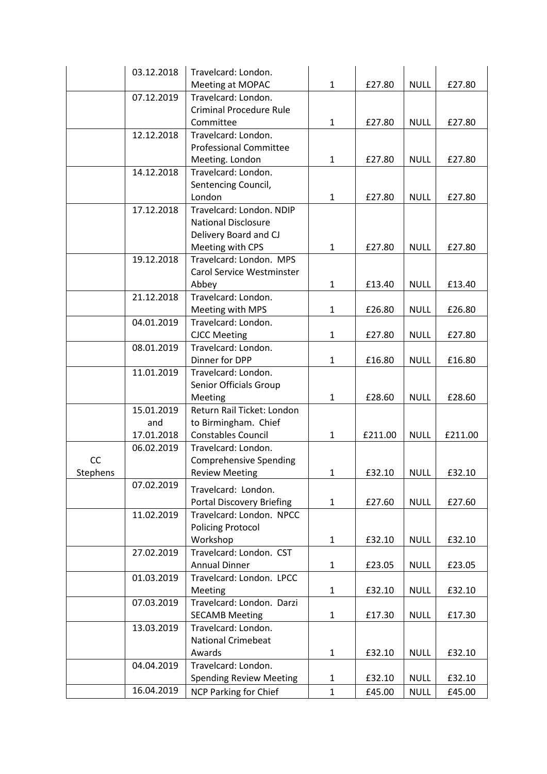|          | 03.12.2018 | Travelcard: London.              |              |         |             |         |
|----------|------------|----------------------------------|--------------|---------|-------------|---------|
|          |            | Meeting at MOPAC                 | $\mathbf{1}$ | £27.80  | <b>NULL</b> | £27.80  |
|          | 07.12.2019 | Travelcard: London.              |              |         |             |         |
|          |            | <b>Criminal Procedure Rule</b>   |              |         |             |         |
|          |            | Committee                        | 1            | £27.80  | <b>NULL</b> | £27.80  |
|          | 12.12.2018 | Travelcard: London.              |              |         |             |         |
|          |            | <b>Professional Committee</b>    |              |         |             |         |
|          |            | Meeting. London                  | $\mathbf{1}$ | £27.80  | <b>NULL</b> | £27.80  |
|          | 14.12.2018 | Travelcard: London.              |              |         |             |         |
|          |            | Sentencing Council,              |              |         |             |         |
|          |            | London                           | $\mathbf{1}$ | £27.80  | <b>NULL</b> | £27.80  |
|          | 17.12.2018 | Travelcard: London. NDIP         |              |         |             |         |
|          |            | <b>National Disclosure</b>       |              |         |             |         |
|          |            | Delivery Board and CJ            |              |         |             |         |
|          |            | Meeting with CPS                 | 1            | £27.80  | <b>NULL</b> | £27.80  |
|          | 19.12.2018 | Travelcard: London. MPS          |              |         |             |         |
|          |            | Carol Service Westminster        |              |         |             |         |
|          |            | Abbey                            | $\mathbf{1}$ | £13.40  | <b>NULL</b> | £13.40  |
|          | 21.12.2018 | Travelcard: London.              |              |         |             |         |
|          |            | Meeting with MPS                 | 1            | £26.80  | <b>NULL</b> | £26.80  |
|          | 04.01.2019 | Travelcard: London.              |              |         |             |         |
|          |            | <b>CJCC Meeting</b>              | $\mathbf{1}$ | £27.80  | <b>NULL</b> | £27.80  |
|          | 08.01.2019 | Travelcard: London.              |              |         |             |         |
|          |            | Dinner for DPP                   | $\mathbf{1}$ | £16.80  | <b>NULL</b> | £16.80  |
|          | 11.01.2019 | Travelcard: London.              |              |         |             |         |
|          |            | Senior Officials Group           |              |         |             |         |
|          |            | Meeting                          | 1            | £28.60  | <b>NULL</b> | £28.60  |
|          | 15.01.2019 | Return Rail Ticket: London       |              |         |             |         |
|          | and        | to Birmingham. Chief             |              |         |             |         |
|          | 17.01.2018 | <b>Constables Council</b>        | 1            | £211.00 | <b>NULL</b> | £211.00 |
|          | 06.02.2019 | Travelcard: London.              |              |         |             |         |
| CC       |            | <b>Comprehensive Spending</b>    |              |         |             |         |
| Stephens |            | <b>Review Meeting</b>            | 1            | £32.10  | <b>NULL</b> | £32.10  |
|          | 07.02.2019 |                                  |              |         |             |         |
|          |            | Travelcard: London.              |              |         |             |         |
|          |            | <b>Portal Discovery Briefing</b> | $\mathbf{1}$ | £27.60  | <b>NULL</b> | £27.60  |
|          | 11.02.2019 | Travelcard: London. NPCC         |              |         |             |         |
|          |            | <b>Policing Protocol</b>         |              |         |             |         |
|          |            | Workshop                         | $\mathbf{1}$ | £32.10  | <b>NULL</b> | £32.10  |
|          | 27.02.2019 | Travelcard: London. CST          |              |         |             |         |
|          |            | <b>Annual Dinner</b>             | $\mathbf{1}$ | £23.05  | <b>NULL</b> | £23.05  |
|          | 01.03.2019 | Travelcard: London. LPCC         |              |         |             |         |
|          |            | Meeting                          | $\mathbf{1}$ | £32.10  | <b>NULL</b> | £32.10  |
|          | 07.03.2019 | Travelcard: London. Darzi        |              |         |             |         |
|          |            | <b>SECAMB Meeting</b>            | $\mathbf{1}$ | £17.30  | <b>NULL</b> | £17.30  |
|          | 13.03.2019 | Travelcard: London.              |              |         |             |         |
|          |            | <b>National Crimebeat</b>        |              |         |             |         |
|          |            | Awards                           | $\mathbf{1}$ | £32.10  | <b>NULL</b> | £32.10  |
|          | 04.04.2019 | Travelcard: London.              |              |         |             |         |
|          |            | <b>Spending Review Meeting</b>   | $\mathbf{1}$ | £32.10  | <b>NULL</b> | £32.10  |
|          | 16.04.2019 | <b>NCP Parking for Chief</b>     | $\mathbf{1}$ | £45.00  | <b>NULL</b> | £45.00  |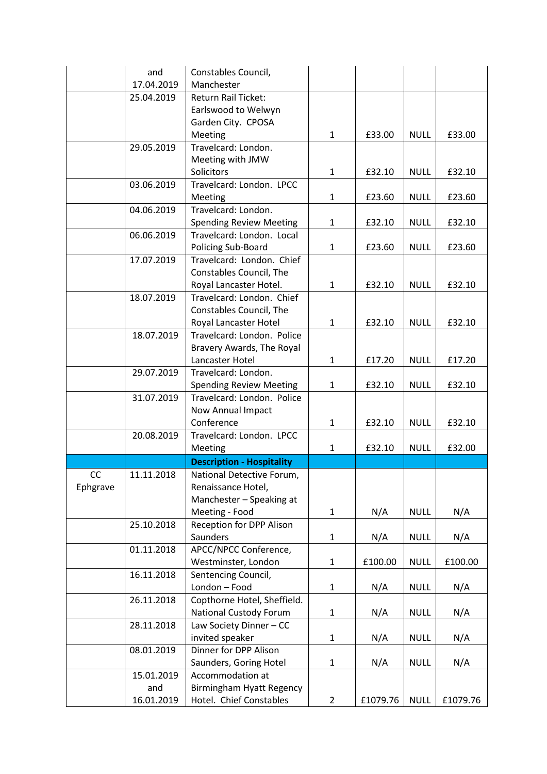|          | and               | Constables Council,                                 |              |         |             |         |
|----------|-------------------|-----------------------------------------------------|--------------|---------|-------------|---------|
|          | 17.04.2019        | Manchester                                          |              |         |             |         |
|          | 25.04.2019        | <b>Return Rail Ticket:</b>                          |              |         |             |         |
|          |                   | Earlswood to Welwyn                                 |              |         |             |         |
|          |                   | Garden City. CPOSA                                  |              |         |             |         |
|          |                   | Meeting                                             | 1            | £33.00  | <b>NULL</b> | £33.00  |
|          | 29.05.2019        | Travelcard: London.                                 |              |         |             |         |
|          |                   | Meeting with JMW                                    |              |         |             |         |
|          |                   | Solicitors                                          | 1            | £32.10  | <b>NULL</b> | £32.10  |
|          | 03.06.2019        | Travelcard: London. LPCC                            |              |         |             |         |
|          |                   | Meeting                                             | 1            | £23.60  | <b>NULL</b> | £23.60  |
|          | 04.06.2019        | Travelcard: London.                                 |              |         |             |         |
|          |                   | <b>Spending Review Meeting</b>                      | 1            | £32.10  | <b>NULL</b> | £32.10  |
|          | 06.06.2019        | Travelcard: London. Local                           |              |         |             |         |
|          |                   | Policing Sub-Board                                  | 1            | £23.60  | <b>NULL</b> | £23.60  |
|          | 17.07.2019        | Travelcard: London. Chief                           |              |         |             |         |
|          |                   | Constables Council, The                             |              |         |             |         |
|          |                   | Royal Lancaster Hotel.                              | 1            | £32.10  | <b>NULL</b> | £32.10  |
|          | 18.07.2019        | Travelcard: London. Chief                           |              |         |             |         |
|          |                   | Constables Council, The                             |              |         |             |         |
|          |                   | Royal Lancaster Hotel                               | 1            | £32.10  | <b>NULL</b> | £32.10  |
|          | 18.07.2019        | Travelcard: London. Police                          |              |         |             |         |
|          |                   | Bravery Awards, The Royal                           |              |         |             |         |
|          |                   | Lancaster Hotel                                     | 1            | £17.20  | <b>NULL</b> | £17.20  |
|          | 29.07.2019        | Travelcard: London.                                 |              |         |             |         |
|          |                   | <b>Spending Review Meeting</b>                      | 1            | £32.10  | <b>NULL</b> | £32.10  |
|          | 31.07.2019        | Travelcard: London. Police                          |              |         |             |         |
|          |                   | Now Annual Impact                                   |              |         |             |         |
|          |                   | Conference                                          | 1            | £32.10  | <b>NULL</b> | £32.10  |
|          | 20.08.2019        | Travelcard: London. LPCC                            |              |         |             |         |
|          |                   | Meeting                                             | 1            | £32.10  | <b>NULL</b> | £32.00  |
|          |                   | <b>Description - Hospitality</b>                    |              |         |             |         |
| CC       | 11.11.2018        | National Detective Forum,                           |              |         |             |         |
| Ephgrave |                   | Renaissance Hotel,                                  |              |         |             |         |
|          |                   | Manchester - Speaking at                            |              |         |             |         |
|          |                   | Meeting - Food                                      | $\mathbf{1}$ | N/A     | <b>NULL</b> | N/A     |
|          | 25.10.2018        | Reception for DPP Alison                            |              |         |             |         |
|          |                   | Saunders                                            | $\mathbf{1}$ | N/A     | <b>NULL</b> | N/A     |
|          | 01.11.2018        | APCC/NPCC Conference,                               |              |         |             |         |
|          |                   | Westminster, London                                 | $\mathbf{1}$ | £100.00 | <b>NULL</b> | £100.00 |
|          | 16.11.2018        | Sentencing Council,                                 |              |         |             |         |
|          |                   | London - Food                                       | $\mathbf{1}$ | N/A     | <b>NULL</b> | N/A     |
|          | 26.11.2018        | Copthorne Hotel, Sheffield.                         |              |         |             |         |
|          |                   |                                                     | 1            | N/A     | <b>NULL</b> | N/A     |
|          |                   |                                                     |              |         |             |         |
|          |                   | <b>National Custody Forum</b>                       |              |         |             |         |
|          | 28.11.2018        | Law Society Dinner - CC                             |              |         |             |         |
|          |                   | invited speaker                                     | $\mathbf{1}$ | N/A     | <b>NULL</b> | N/A     |
|          | 08.01.2019        | Dinner for DPP Alison                               |              |         |             |         |
|          |                   | Saunders, Goring Hotel                              | 1            | N/A     | <b>NULL</b> | N/A     |
|          | 15.01.2019<br>and | Accommodation at<br><b>Birmingham Hyatt Regency</b> |              |         |             |         |